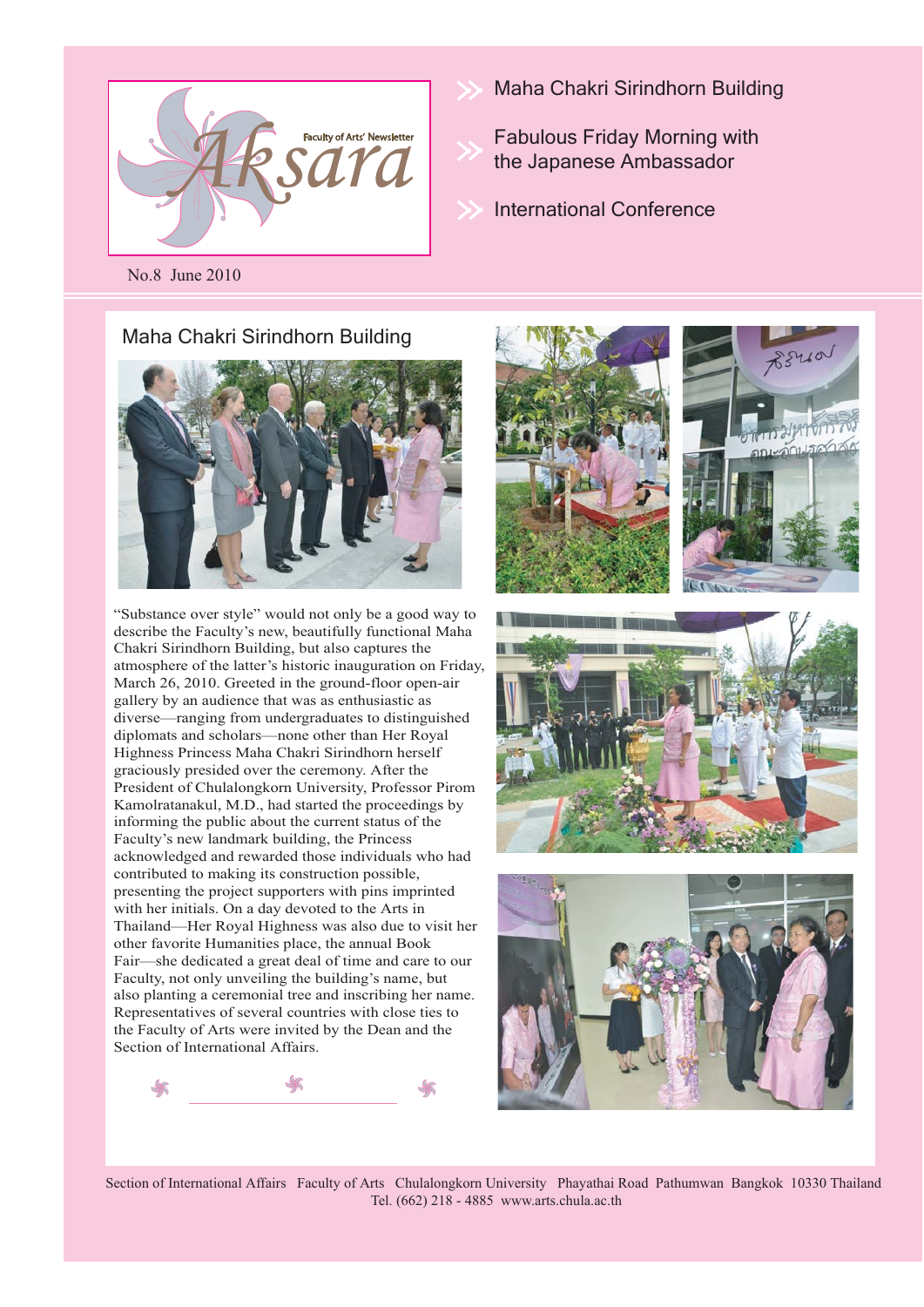

- Maha Chakri Sirindhorn Building
	- Fabulous Friday Morning with the Japanese Ambassador
- International Conference

No.8 June 2010

#### Maha Chakri Sirindhorn Building



"Substance over style" would not only be a good way to describe the Faculty's new, beautifully functional Maha Chakri Sirindhorn Building, but also captures the atmosphere of the latter's historic inauguration on Friday, March 26, 2010. Greeted in the ground-floor open-air gallery by an audience that was as enthusiastic as diverse—ranging from undergraduates to distinguished diplomats and scholars—none other than Her Royal Highness Princess Maha Chakri Sirindhorn herself graciously presided over the ceremony. After the President of Chulalongkorn University, Professor Pirom Kamolratanakul, M.D., had started the proceedings by informing the public about the current status of the Faculty's new landmark building, the Princess acknowledged and rewarded those individuals who had contributed to making its construction possible, presenting the project supporters with pins imprinted with her initials. On a day devoted to the Arts in Thailand—Her Royal Highness was also due to visit her other favorite Humanities place, the annual Book Fair—she dedicated a great deal of time and care to our Faculty, not only unveiling the building's name, but also planting a ceremonial tree and inscribing her name. Representatives of several countries with close ties to the Faculty of Arts were invited by the Dean and the Section of International Affairs.









Section of International Affairs Faculty of Arts Chulalongkorn University Phayathai Road Pathumwan Bangkok 10330 Thailand Tel. (662) 218 - 4885 www.arts.chula.ac.th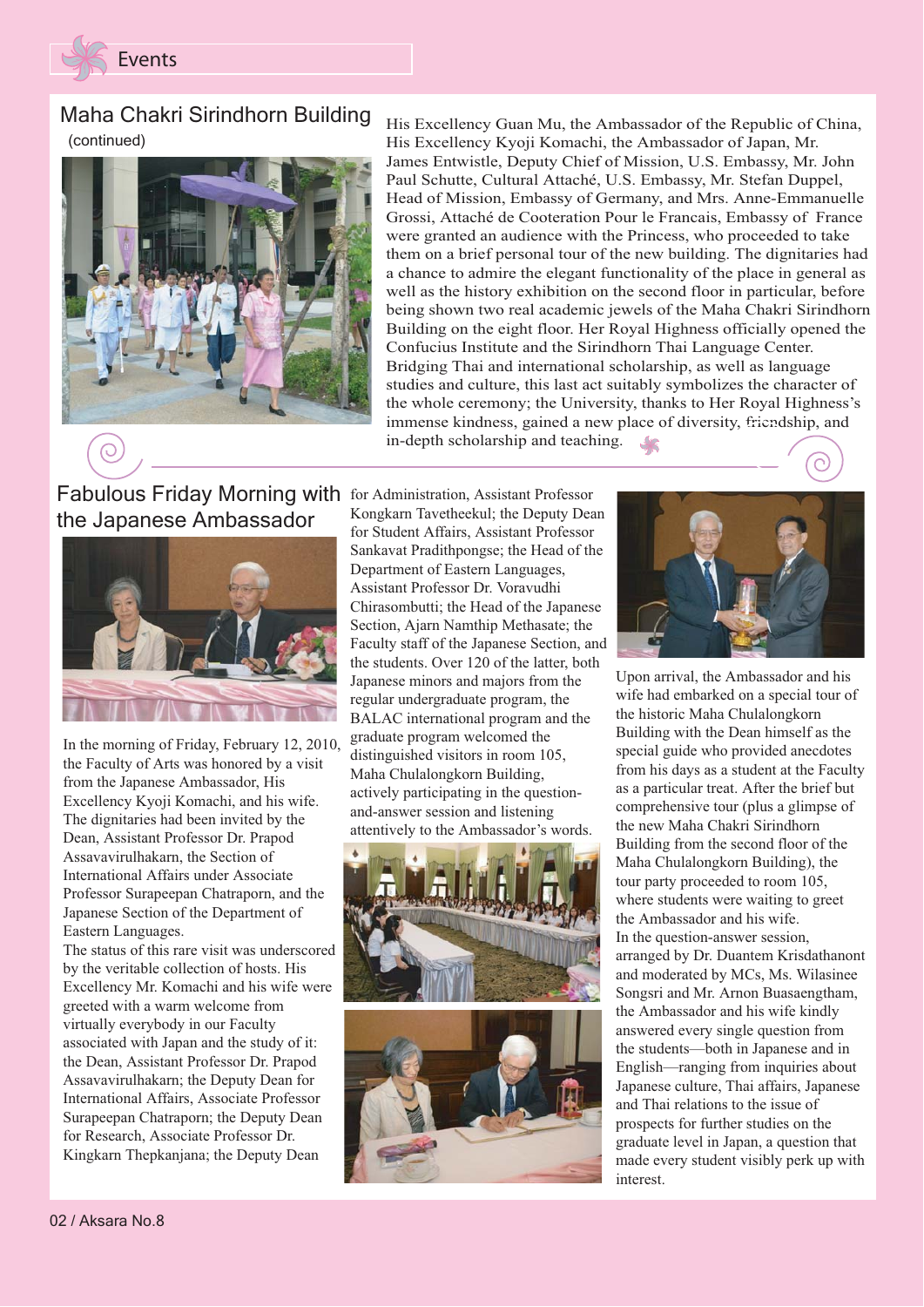

### Maha Chakri Sirindhorn Building (continued)



His Excellency Guan Mu, the Ambassador of the Republic of China, His Excellency Kyoji Komachi, the Ambassador of Japan, Mr. James Entwistle, Deputy Chief of Mission, U.S. Embassy, Mr. John Paul Schutte, Cultural Attaché, U.S. Embassy, Mr. Stefan Duppel, Head of Mission, Embassy of Germany, and Mrs. Anne-Emmanuelle Grossi, Attaché de Cooteration Pour le Francais, Embassy of France were granted an audience with the Princess, who proceeded to take them on a brief personal tour of the new building. The dignitaries had a chance to admire the elegant functionality of the place in general as well as the history exhibition on the second floor in particular, before being shown two real academic jewels of the Maha Chakri Sirindhorn Building on the eight floor. Her Royal Highness officially opened the Confucius Institute and the Sirindhorn Thai Language Center. Bridging Thai and international scholarship, as well as language studies and culture, this last act suitably symbolizes the character of the whole ceremony; the University, thanks to Her Royal Highness's immense kindness, gained a new place of diversity, friendship, and in-depth scholarship and teaching. $\frac{1}{\sqrt{2}}$ 

# Fabulous Friday Morning with for Administration, Assistant Professor the Japanese Ambassador



In the morning of Friday, February 12, 2010, the Faculty of Arts was honored by a visit from the Japanese Ambassador, His Excellency Kyoji Komachi, and his wife. The dignitaries had been invited by the Dean, Assistant Professor Dr. Prapod Assavavirulhakarn, the Section of International Affairs under Associate Professor Surapeepan Chatraporn, and the Japanese Section of the Department of Eastern Languages.

The status of this rare visit was underscored by the veritable collection of hosts. His Excellency Mr. Komachi and his wife were greeted with a warm welcome from virtually everybody in our Faculty associated with Japan and the study of it: the Dean, Assistant Professor Dr. Prapod Assavavirulhakarn; the Deputy Dean for International Affairs, Associate Professor Surapeepan Chatraporn; the Deputy Dean for Research, Associate Professor Dr. Kingkarn Thepkanjana; the Deputy Dean

Kongkarn Tavetheekul; the Deputy Dean for Student Affairs, Assistant Professor Sankavat Pradithpongse; the Head of the Department of Eastern Languages, Assistant Professor Dr. Voravudhi Chirasombutti; the Head of the Japanese Section, Ajarn Namthip Methasate; the Faculty staff of the Japanese Section, and the students. Over 120 of the latter, both Japanese minors and majors from the regular undergraduate program, the BALAC international program and the graduate program welcomed the distinguished visitors in room 105, Maha Chulalongkorn Building, actively participating in the questionand-answer session and listening attentively to the Ambassador's words.





Upon arrival, the Ambassador and his wife had embarked on a special tour of the historic Maha Chulalongkorn Building with the Dean himself as the special guide who provided anecdotes from his days as a student at the Faculty as a particular treat. After the brief but comprehensive tour (plus a glimpse of the new Maha Chakri Sirindhorn Building from the second floor of the Maha Chulalongkorn Building), the tour party proceeded to room 105, where students were waiting to greet the Ambassador and his wife. In the question-answer session, arranged by Dr. Duantem Krisdathanont and moderated by MCs, Ms. Wilasinee Songsri and Mr. Arnon Buasaengtham, the Ambassador and his wife kindly answered every single question from the students—both in Japanese and in English—ranging from inquiries about Japanese culture, Thai affairs, Japanese and Thai relations to the issue of prospects for further studies on the graduate level in Japan, a question that made every student visibly perk up with interest.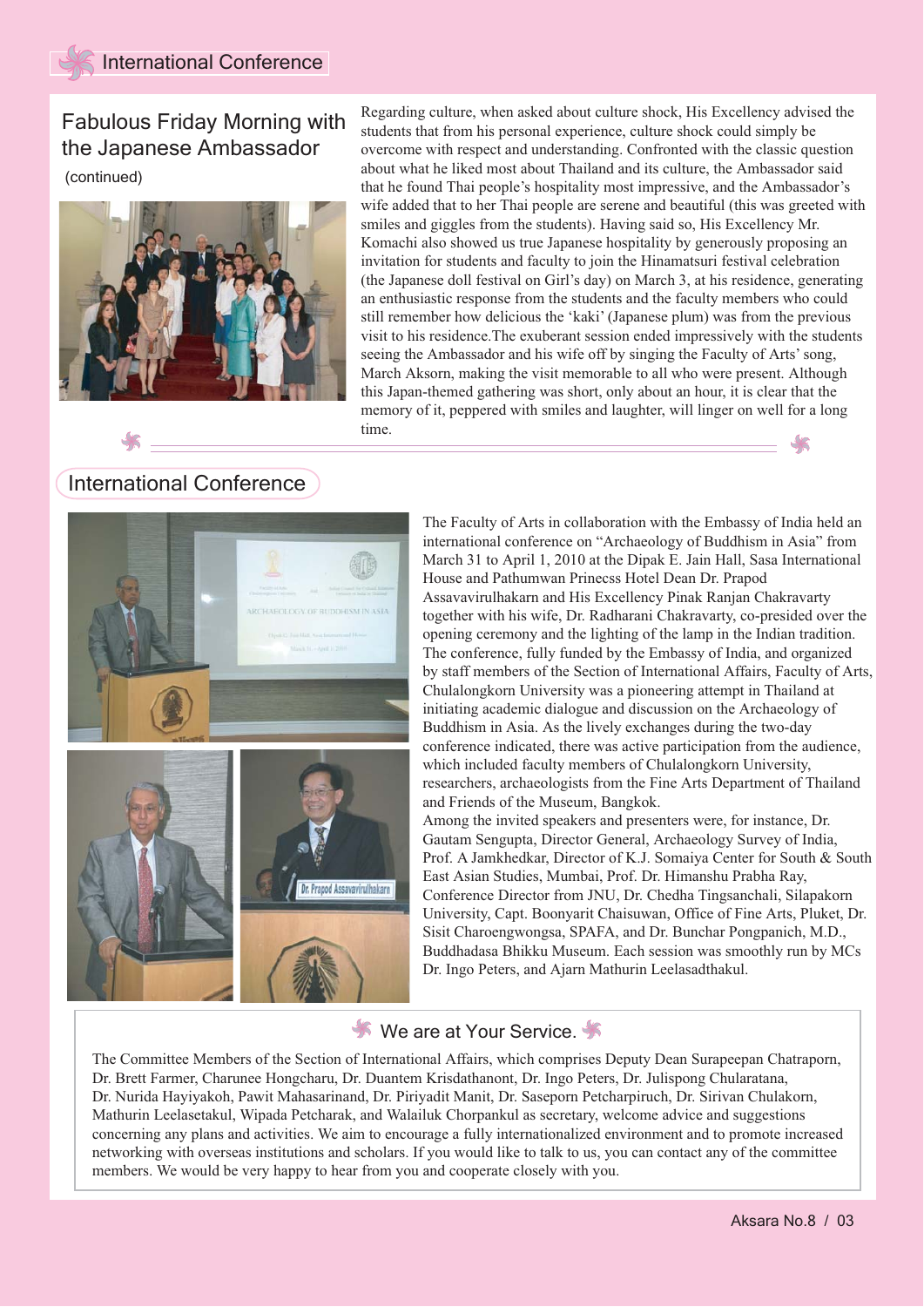Fabulous Friday Morning with the Japanese Ambassador

(continued)



Regarding culture, when asked about culture shock, His Excellency advised the students that from his personal experience, culture shock could simply be overcome with respect and understanding. Confronted with the classic question about what he liked most about Thailand and its culture, the Ambassador said that he found Thai people's hospitality most impressive, and the Ambassador's wife added that to her Thai people are serene and beautiful (this was greeted with smiles and giggles from the students). Having said so, His Excellency Mr. Komachi also showed us true Japanese hospitality by generously proposing an invitation for students and faculty to join the Hinamatsuri festival celebration (the Japanese doll festival on Girl's day) on March 3, at his residence, generating an enthusiastic response from the students and the faculty members who could still remember how delicious the 'kaki' (Japanese plum) was from the previous visit to his residence.The exuberant session ended impressively with the students seeing the Ambassador and his wife off by singing the Faculty of Arts' song, March Aksorn, making the visit memorable to all who were present. Although this Japan-themed gathering was short, only about an hour, it is clear that the memory of it, peppered with smiles and laughter, will linger on well for a long time.

### International Conference



The Faculty of Arts in collaboration with the Embassy of India held an international conference on "Archaeology of Buddhism in Asia" from March 31 to April 1, 2010 at the Dipak E. Jain Hall, Sasa International House and Pathumwan Prinecss Hotel Dean Dr. Prapod Assavavirulhakarn and His Excellency Pinak Ranjan Chakravarty together with his wife, Dr. Radharani Chakravarty, co-presided over the opening ceremony and the lighting of the lamp in the Indian tradition. The conference, fully funded by the Embassy of India, and organized by staff members of the Section of International Affairs, Faculty of Arts, Chulalongkorn University was a pioneering attempt in Thailand at initiating academic dialogue and discussion on the Archaeology of Buddhism in Asia. As the lively exchanges during the two-day conference indicated, there was active participation from the audience, which included faculty members of Chulalongkorn University, researchers, archaeologists from the Fine Arts Department of Thailand and Friends of the Museum, Bangkok.

Among the invited speakers and presenters were, for instance, Dr. Gautam Sengupta, Director General, Archaeology Survey of India, Prof. A Jamkhedkar, Director of K.J. Somaiya Center for South & South East Asian Studies, Mumbai, Prof. Dr. Himanshu Prabha Ray, Conference Director from JNU, Dr. Chedha Tingsanchali, Silapakorn University, Capt. Boonyarit Chaisuwan, Office of Fine Arts, Pluket, Dr. Sisit Charoengwongsa, SPAFA, and Dr. Bunchar Pongpanich, M.D., Buddhadasa Bhikku Museum. Each session was smoothly run by MCs Dr. Ingo Peters, and Ajarn Mathurin Leelasadthakul.

#### We are at Your Service.

The Committee Members of the Section of International Affairs, which comprises Deputy Dean Surapeepan Chatraporn, Dr. Brett Farmer, Charunee Hongcharu, Dr. Duantem Krisdathanont, Dr. Ingo Peters, Dr. Julispong Chularatana, Dr. Nurida Hayiyakoh, Pawit Mahasarinand, Dr. Piriyadit Manit, Dr. Saseporn Petcharpiruch, Dr. Sirivan Chulakorn, Mathurin Leelasetakul, Wipada Petcharak, and Walailuk Chorpankul as secretary, welcome advice and suggestions concerning any plans and activities. We aim to encourage a fully internationalized environment and to promote increased networking with overseas institutions and scholars. If you would like to talk to us, you can contact any of the committee members. We would be very happy to hear from you and cooperate closely with you.